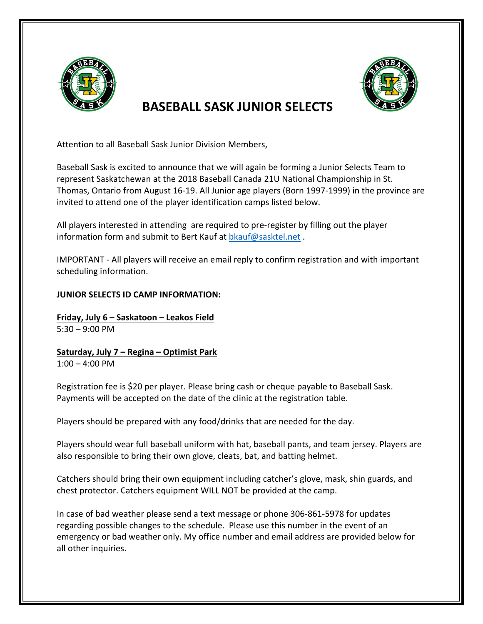

## **BASEBALL SASK JUNIOR SELECTS**

Attention to all Baseball Sask Junior Division Members,

Baseball Sask is excited to announce that we will again be forming a Junior Selects Team to represent Saskatchewan at the 2018 Baseball Canada 21U National Championship in St. Thomas, Ontario from August 16-19. All Junior age players (Born 1997-1999) in the province are invited to attend one of the player identification camps listed below.

All players interested in attending are required to pre-register by filling out the player information form and submit to Bert Kauf at bkauf@sasktel.net.

IMPORTANT - All players will receive an email reply to confirm registration and with important scheduling information.

## **JUNIOR SELECTS ID CAMP INFORMATION:**

**Friday, July 6 - Saskatoon - Leakos Field**  $5:30 - 9:00$  PM

**Saturday, July 7 – Regina – Optimist Park**  $1:00 - 4:00$  PM

Registration fee is \$20 per player. Please bring cash or cheque payable to Baseball Sask. Payments will be accepted on the date of the clinic at the registration table.

Players should be prepared with any food/drinks that are needed for the day.

Players should wear full baseball uniform with hat, baseball pants, and team jersey. Players are also responsible to bring their own glove, cleats, bat, and batting helmet.

Catchers should bring their own equipment including catcher's glove, mask, shin guards, and chest protector. Catchers equipment WILL NOT be provided at the camp.

In case of bad weather please send a text message or phone 306-861-5978 for updates regarding possible changes to the schedule. Please use this number in the event of an emergency or bad weather only. My office number and email address are provided below for all other inquiries.